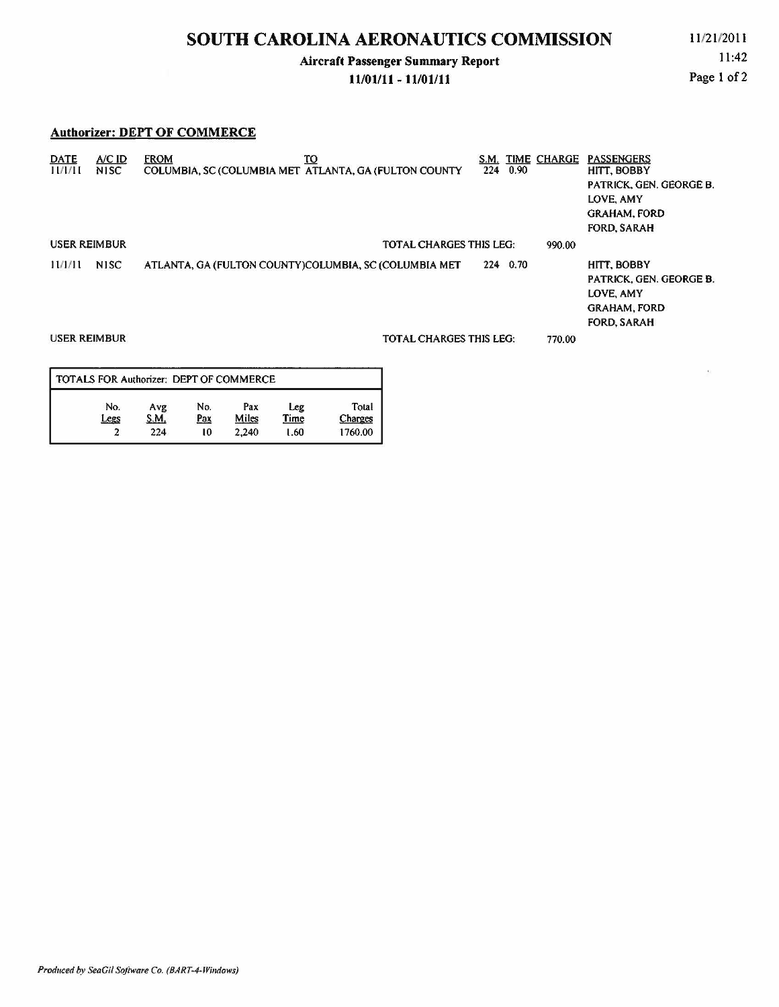### Aircraft Passenger Summary Report

#### 11/01/11 - 11/01/11

11:42 Page 1 of 2

#### Authorizer: DEPT OF COMMERCE

| <b>DATE</b><br>11/1/11                                | $A/C$ ID.<br><b>NISC</b> | <b>FROM</b><br>то<br>COLUMBIA, SC (COLUMBIA MET ATLANTA, GA (FULTON COUNTY | S.M.<br>224 | 0.90     | <b>TIME CHARGE</b> | <b>PASSENGERS</b><br>HITT, BOBBY<br><b>PATRICK, GEN. GEORGE B.</b><br>LOVE, AMY<br><b>GRAHAM, FORD</b><br><b>FORD, SARAH</b> |
|-------------------------------------------------------|--------------------------|----------------------------------------------------------------------------|-------------|----------|--------------------|------------------------------------------------------------------------------------------------------------------------------|
| <b>USER REIMBUR</b><br><b>TOTAL CHARGES THIS LEG:</b> |                          |                                                                            |             |          |                    |                                                                                                                              |
| 11/1/11                                               | <b>NISC</b>              | ATLANTA, GA (FULTON COUNTY)COLUMBIA, SC (COLUMBIA MET                      |             | 224 0.70 |                    | HITT, BOBBY<br>PATRICK, GEN. GEORGE B.<br>LOVE, AMY<br><b>GRAHAM, FORD</b><br><b>FORD, SARAH</b>                             |
| <b>USER REIMBUR</b>                                   |                          | <b>TOTAL CHARGES THIS LEG:</b>                                             |             |          | 770.00             |                                                                                                                              |
|                                                       |                          |                                                                            |             |          |                    |                                                                                                                              |

| TOTALS FOR Authorizer: DEPT OF COMMERCE |             |                   |              |             |                  |  |  |  |  |  |
|-----------------------------------------|-------------|-------------------|--------------|-------------|------------------|--|--|--|--|--|
| No.<br>Legs                             | Avg<br>S.M. | No.<br><u>Pax</u> | Pax<br>Miles | Leg<br>Time | Total<br>Charges |  |  |  |  |  |
| າ                                       | 224         | 10                | 2.240        | 1.60        | 1760.00          |  |  |  |  |  |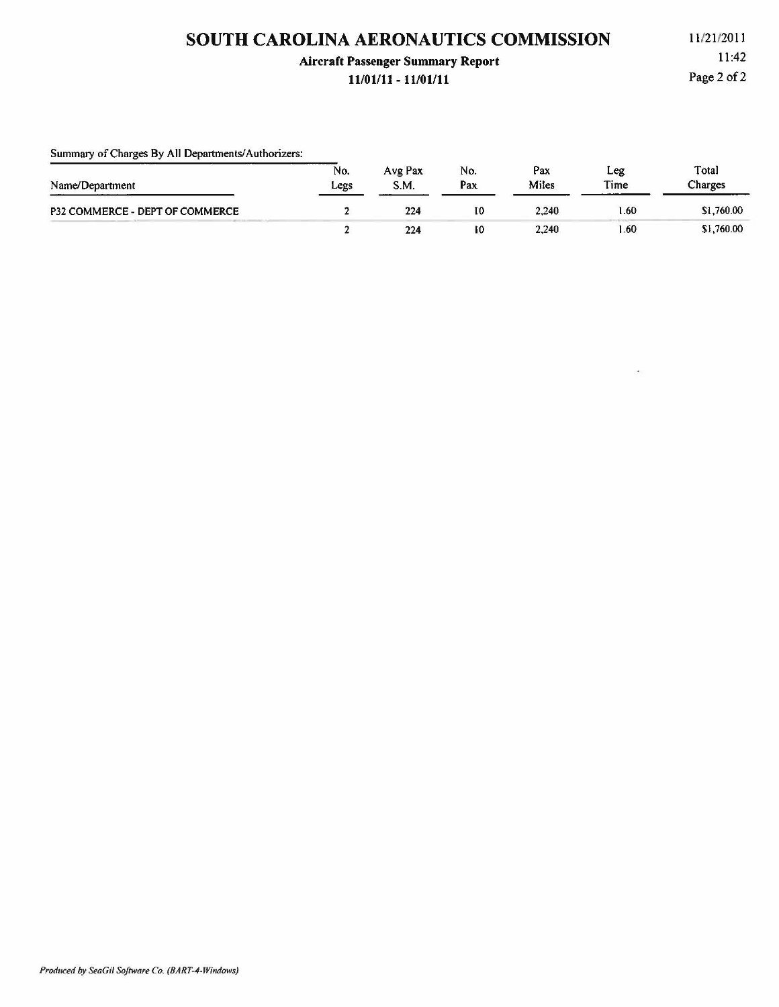### **Aircraft Passenger Summary Report**

#### **11/01/11 - 11/01/11**

11 /2112011 11:42 Page 2 of 2

| Summary of Charges By All Departments/Authorizers: |             |                 |            |              |             |                  |
|----------------------------------------------------|-------------|-----------------|------------|--------------|-------------|------------------|
| Name/Department                                    | No.<br>Legs | Avg Pax<br>S.M. | No.<br>Pax | Pax<br>Miles | Leg<br>Time | Total<br>Charges |
| P32 COMMERCE - DEPT OF COMMERCE                    |             | 224             | 10         | 2.240        | 1.60        | \$1,760.00       |
|                                                    |             | 224             | 10         | 2,240        | .60         | \$1,760.00       |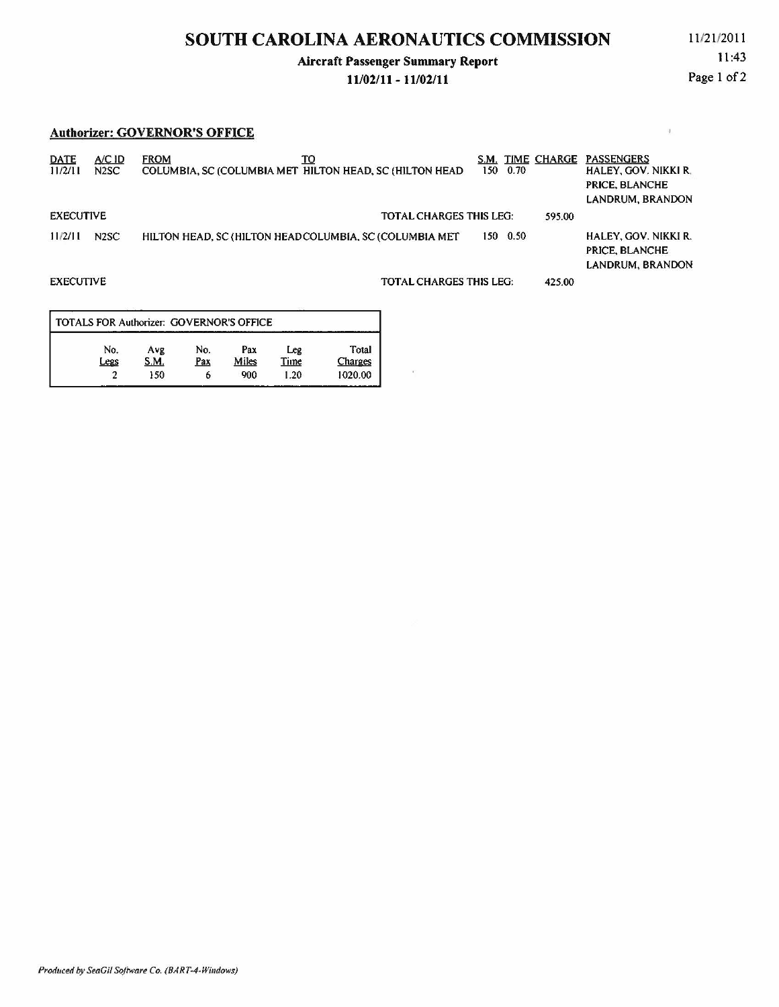### **Aircraft Passenger Summary Report**

#### **11/02/11 - 11/02/11**

11:43 Page 1 of 2

#### **Authorizer: GOVERNOR'S OFFICE**

| <b>DATE</b><br>11/2/11 | A/CID<br>N <sub>2</sub> SC | TO<br><b>FROM</b><br>COLUMBIA, SC (COLUMBIA MET HILTON HEAD, SC (HILTON HEAD | S.M.<br>150.                   | 0.70 | TIME CHARGE | <b>PASSENGERS</b><br><b>HALEY, GOV. NIKKI R.</b><br>PRICE, BLANCHE<br>LANDRUM, BRANDON |
|------------------------|----------------------------|------------------------------------------------------------------------------|--------------------------------|------|-------------|----------------------------------------------------------------------------------------|
| <b>EXECUTIVE</b>       |                            |                                                                              | <b>TOTAL CHARGES THIS LEG:</b> |      | 595.00      |                                                                                        |
| 11/2/11                | N <sub>2</sub> SC          | HILTON HEAD, SC (HILTON HEADCOLUMBIA, SC (COLUMBIA MET)                      | 150                            | 0.50 |             | HALEY, GOV. NIKKI R.<br>PRICE, BLANCHE<br>LANDRUM, BRANDON                             |
| <b>EXECUTIVE</b>       |                            |                                                                              | <b>TOTAL CHARGES THIS LEG:</b> |      | 425.00      |                                                                                        |
|                        |                            |                                                                              |                                |      |             |                                                                                        |

| Avg  | No. | Pax   | Leg  | Total                                           |
|------|-----|-------|------|-------------------------------------------------|
| S.M. | Pax | Miles | Time | Charges                                         |
| 150  | ۰   | 900   | 1.20 | 1020.00                                         |
|      |     |       |      | <b>TOTALS FOR Authorizer: GOVERNOR'S OFFICE</b> |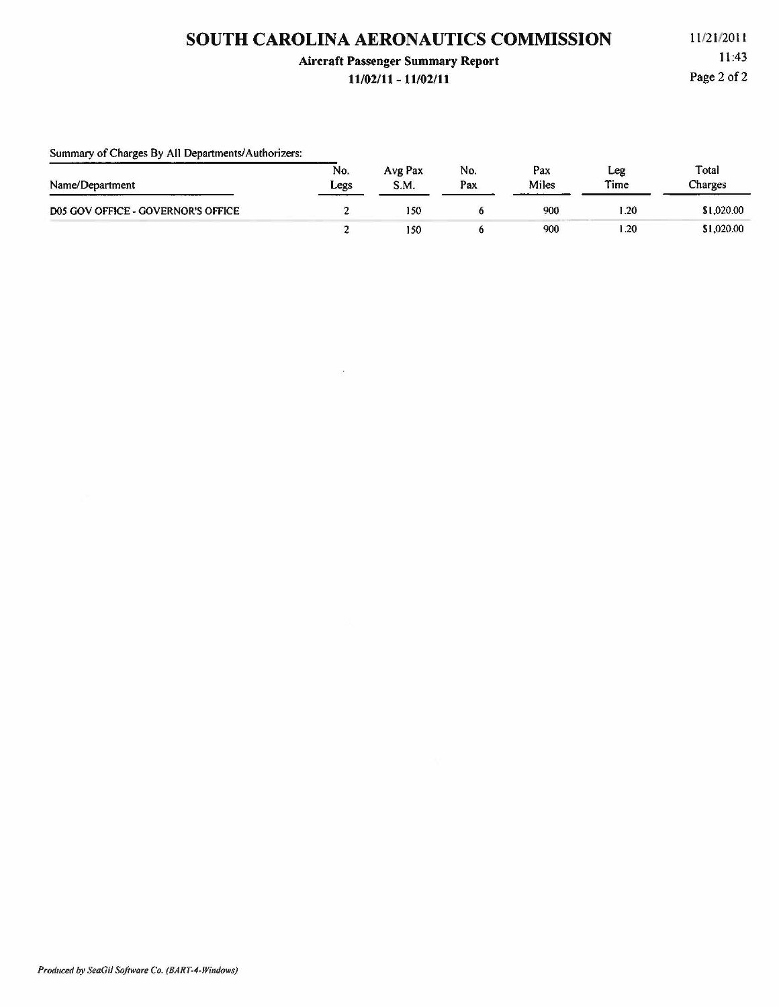### **Aircraft Passenger Summary Report**

#### **11/02/11 - 11/02/11**

11 /21 /2011 11:43 Page 2 of 2

| Summary of Charges By All Departments/Authorizers: |             |                 |            |              |             |                  |
|----------------------------------------------------|-------------|-----------------|------------|--------------|-------------|------------------|
| Name/Department                                    | No.<br>Legs | Avg Pax<br>S.M. | No.<br>Pax | Pax<br>Miles | Leg<br>Time | Total<br>Charges |
| D05 GOV OFFICE - GOVERNOR'S OFFICE                 |             | 150             |            | 900          | 1.20        | \$1,020.00       |
|                                                    |             | 150             |            | 900          | .20         | \$1,020.00       |

 $\alpha$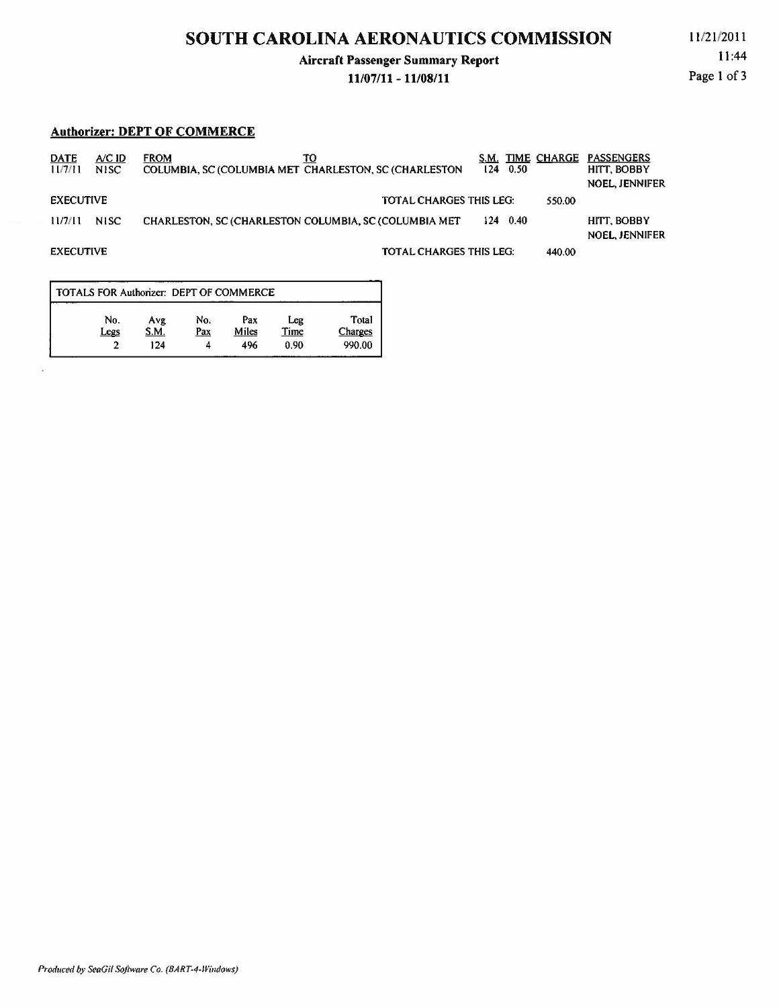### Aircraft Passenger Summary Report

#### 11/07/11 - 11/08/11

l l/2 1/2011 11:44 Page 1 of 3

#### Authorizer: DEPT OF COMMERCE

| <b>DATE</b><br>11/7/11 | $A/C$ ID<br>N <sub>1</sub> SC | <b>FROM</b><br>TO<br>COLUMBIA, SC (COLUMBIA MET CHARLESTON, SC (CHARLESTON) |                                | S.M. TIME CHARGE<br>$124 \quad 0.50$ | <b>PASSENGERS</b><br>HITT, BOBBY<br><b>NOEL, JENNIFER</b> |
|------------------------|-------------------------------|-----------------------------------------------------------------------------|--------------------------------|--------------------------------------|-----------------------------------------------------------|
| <b>EXECUTIVE</b>       |                               |                                                                             | <b>TOTAL CHARGES THIS LEG:</b> |                                      | 550.00                                                    |
| 11/7/11                | <b>NISC</b>                   | <b>CHARLESTON, SC (CHARLESTON COLUMBIA, SC (COLUMBIA MET)</b>               |                                | $124 \quad 0.40$                     | HITT, BOBBY<br><b>NOEL, JENNIFER</b>                      |
| <b>EXECUTIVE</b>       |                               |                                                                             | <b>TOTAL CHARGES THIS LEG:</b> |                                      | 440.00                                                    |

| TOTALS FOR Authorizer: DEPT OF COMMERCE |             |            |              |             |                  |
|-----------------------------------------|-------------|------------|--------------|-------------|------------------|
| No.<br>Legs                             | Avg<br>S.M. | No.<br>Pax | Pax<br>Miles | Leg<br>Time | Total<br>Charges |
|                                         | 124         |            | 496          | 0.90        | 990.00           |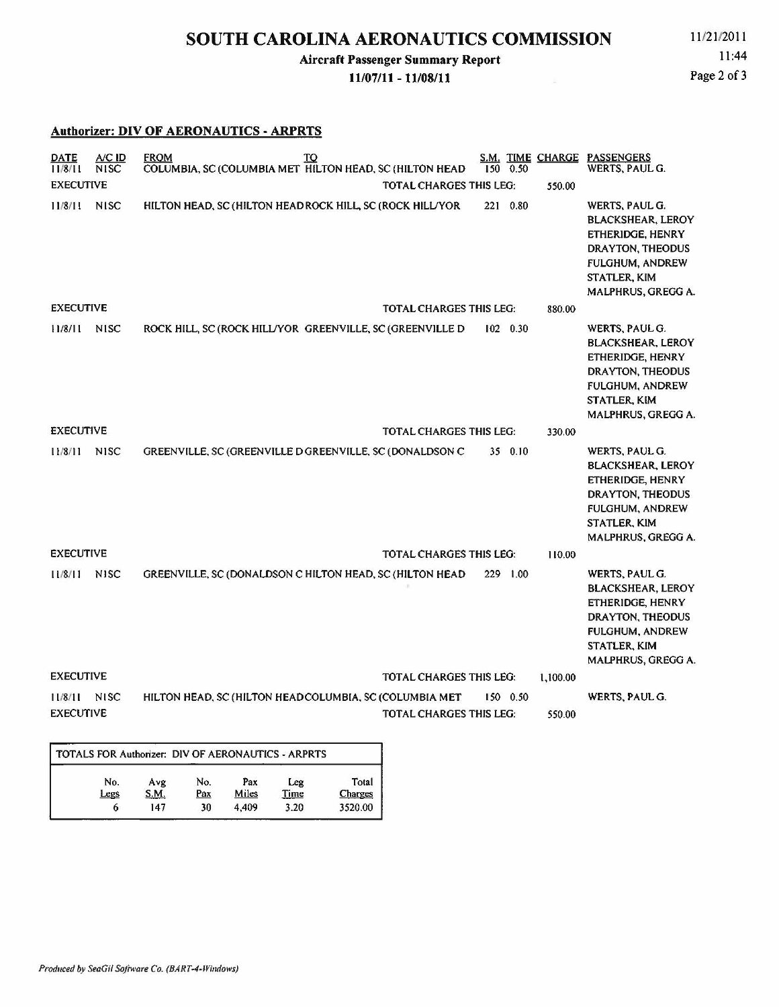## Aircraft Passenger Summary Report

#### 11/07/11- 11/08/11

11:44 Page 2 of 3

#### Authorizer: DIV OF AERONAUTICS- ARPRTS

| <b>DATE</b><br>A/C ID<br><b>NISC</b><br>11/8/11 | <b>FROM</b><br>TQ<br>COLUMBIA, SC (COLUMBIA MET HILTON HEAD, SC (HILTON HEAD |                                | $150 \t 0.50$ |          | S.M. TIME CHARGE PASSENGERS<br>WERTS, PAUL G.                                                                                                                    |
|-------------------------------------------------|------------------------------------------------------------------------------|--------------------------------|---------------|----------|------------------------------------------------------------------------------------------------------------------------------------------------------------------|
| <b>EXECUTIVE</b>                                |                                                                              | <b>TOTAL CHARGES THIS LEG:</b> |               | 550.00   |                                                                                                                                                                  |
| 11/8/11<br><b>NISC</b>                          | HILTON HEAD, SC (HILTON HEAD ROCK HILL, SC (ROCK HILL/YOR                    |                                | 221 0.80      |          | WERTS, PAUL G.<br><b>BLACKSHEAR, LEROY</b><br>ETHERIDGE, HENRY<br>DRAYTON, THEODUS<br><b>FULGHUM, ANDREW</b><br><b>STATLER, KIM</b><br>MALPHRUS, GREGG A.        |
| <b>EXECUTIVE</b>                                |                                                                              | <b>TOTAL CHARGES THIS LEG:</b> |               | 880.00   |                                                                                                                                                                  |
| 11/8/11<br><b>NISC</b>                          | ROCK HILL, SC (ROCK HILL/YOR GREENVILLE, SC (GREENVILLE D                    |                                | $102$ 0.30    |          | WERTS, PAUL G.<br><b>BLACKSHEAR, LEROY</b><br>ETHERIDGE, HENRY<br>DRAYTON, THEODUS<br><b>FULGHUM, ANDREW</b><br><b>STATLER, KIM</b><br>MALPHRUS, GREGG A.        |
| <b>EXECUTIVE</b>                                |                                                                              | <b>TOTAL CHARGES THIS LEG:</b> |               | 330.00   |                                                                                                                                                                  |
| 11/8/11<br><b>NISC</b>                          | GREENVILLE, SC (GREENVILLE D GREENVILLE, SC (DONALDSON C)                    |                                | 35 0.10       |          | WERTS, PAUL G.<br><b>BLACKSHEAR, LEROY</b><br>ETHERIDGE, HENRY<br>DRAYTON, THEODUS<br><b>FULGHUM, ANDREW</b><br><b>STATLER, KIM</b><br><b>MALPHRUS, GREGG A.</b> |
| <b>EXECUTIVE</b>                                |                                                                              | <b>TOTAL CHARGES THIS LEG:</b> |               | 110.00   |                                                                                                                                                                  |
| 11/8/11<br><b>NISC</b>                          | GREENVILLE, SC (DONALDSON C HILTON HEAD, SC (HILTON HEAD                     |                                | 229 1.00      |          | <b>WERTS, PAUL G.</b><br><b>BLACKSHEAR, LEROY</b><br>ETHERIDGE, HENRY<br>DRAYTON, THEODUS<br><b>FULGHUM, ANDREW</b><br>STATLER, KIM<br>MALPHRUS, GREGG A.        |
| <b>EXECUTIVE</b>                                |                                                                              | <b>TOTAL CHARGES THIS LEG:</b> |               | 1,100.00 |                                                                                                                                                                  |
| 11/8/11<br><b>NISC</b>                          | HILTON HEAD, SC (HILTON HEADCOLUMBIA, SC (COLUMBIA MET                       |                                | 150 0.50      |          | WERTS, PAUL G.                                                                                                                                                   |
| <b>EXECUTIVE</b>                                |                                                                              | <b>TOTAL CHARGES THIS LEG:</b> |               | 550.00   |                                                                                                                                                                  |
| $m \cdot n$ is $m \cdot n$ in $m \cdot n$       | $B117A0 + B10A111B000 + B10000$                                              |                                |               |          |                                                                                                                                                                  |

| TOTALS FOR Authorizer: DIV OF AERONAUTICS - ARPRTS |      |     |       |      |                |  |  |  |  |  |  |
|----------------------------------------------------|------|-----|-------|------|----------------|--|--|--|--|--|--|
| No.                                                | Avg  | No. | Pax   | Leg  | Total          |  |  |  |  |  |  |
| Legs                                               | S.M. | Pax | Miles | Time | <b>Charges</b> |  |  |  |  |  |  |
| o                                                  | 147  | 30  | 4.409 | 3.20 | 3520.00        |  |  |  |  |  |  |